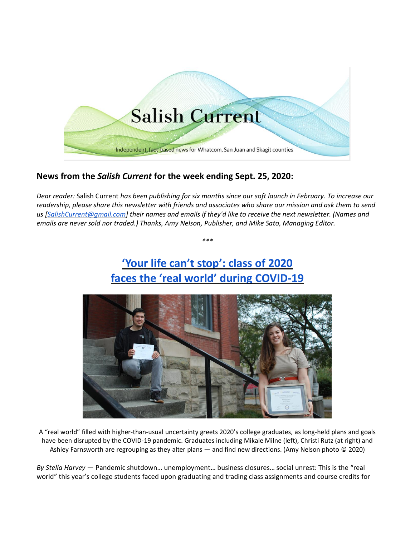

### **News from the** *Salish Current* **for the week ending Sept. 25, 2020:**

*Dear reader:* Salish Current *has been publishing for six months since our soft launch in February. To increase our readership, please share this newsletter with friends and associates who share our mission and ask them to send us [\[SalishCurrent@gmail.com\]](mailto:SalishCurrent@gmail.com) their names and emails if they'd like to receive the next newsletter. (Names and emails are never sold nor traded.) Thanks, Amy Nelson, Publisher, and Mike Sato, Managing Editor.*

*\*\*\**

# **['Your life can't stop': class of 2020](https://salish-current.org/2020/09/25/your-life-cant-stop-class-of-2020-faces-the-real-world-during-covid-19/) [faces the 'real world' during](https://salish-current.org/2020/09/25/your-life-cant-stop-class-of-2020-faces-the-real-world-during-covid-19/) COVID-19**



A "real world" filled with higher-than-usual uncertainty greets 2020's college graduates, as long-held plans and goals have been disrupted by the COVID-19 pandemic. Graduates including Mikale Milne (left), Christi Rutz (at right) and Ashley Farnsworth are regrouping as they alter plans — and find new directions. (Amy Nelson photo © 2020)

*By Stella Harvey* — Pandemic shutdown… unemployment… business closures… social unrest: This is the "real world" this year's college students faced upon graduating and trading class assignments and course credits for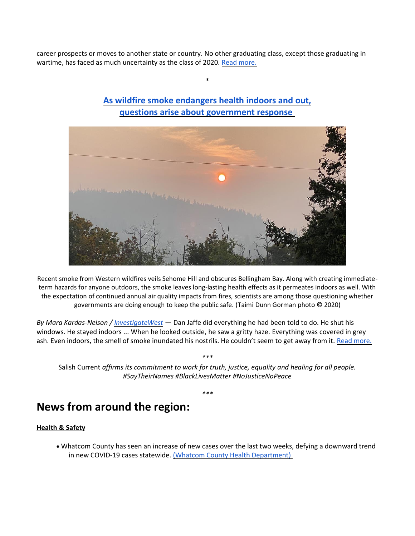career prospects or moves to another state or country. No other graduating class, except those graduating in wartime, has faced as much uncertainty as the class of 2020. [Read more.](https://salish-current.org/2020/09/25/your-life-cant-stop-class-of-2020-faces-the-real-world-during-covid-19/)



## **[As wildfire smoke endangers health indoors and out,](https://salish-current.org/2020/09/21/as-wildfire-smoke-endangers-health-indoors-and-out-questions-arise-about-government-response/) [questions arise about government response](https://salish-current.org/2020/09/21/as-wildfire-smoke-endangers-health-indoors-and-out-questions-arise-about-government-response/)**

\*

Recent smoke from Western wildfires veils Sehome Hill and obscures Bellingham Bay. Along with creating immediateterm hazards for anyone outdoors, the smoke leaves long-lasting health effects as it permeates indoors as well. With the expectation of continued annual air quality impacts from fires, scientists are among those questioning whether governments are doing enough to keep the public safe. (Taimi Dunn Gorman photo © 2020)

*By Mara Kardas-Nelson / [InvestigateWest](https://www.invw.org/)* — Dan Jaffe did everything he had been told to do. He shut his windows. He stayed indoors ... When he looked outside, he saw a gritty haze. Everything was covered in grey ash. Even indoors, the smell of smoke inundated his nostrils. He couldn't seem to get away from it. [Read more.](https://salish-current.org/2020/09/21/as-wildfire-smoke-endangers-health-indoors-and-out-questions-arise-about-government-response/)

*\*\*\**

Salish Current *affirms its commitment to work for truth, justice, equality and healing for all people. #SayTheirNames #BlackLivesMatter #NoJusticeNoPeace*

*\*\*\**

## **News from around the region:**

#### **Health & Safety**

• Whatcom County has seen an increase of new cases over the last two weeks, defying a downward trend in new COVID-19 cases statewide. [\(Whatcom County Health Department\)](https://www.whatcomtalk.com/2020/09/22/whatcom-county-covid-19-cases-on-the-rise-risk-remains-high/)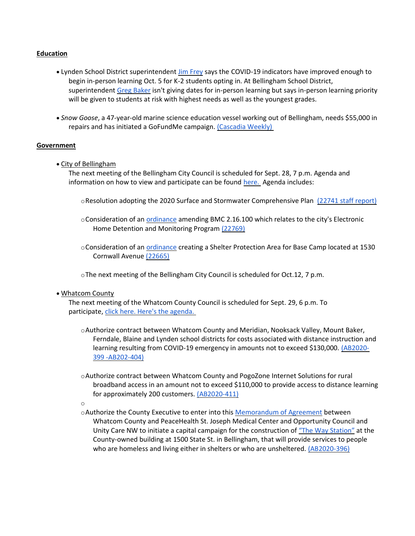#### **Education**

- Lynden School District superintendent [Jim Frey](https://lynden.wednet.edu/hidden_news/school_re-_opening_20-21_information) says the COVID-19 indicators have improved enough to begin in-person learning Oct. 5 for K-2 students opting in. At Bellingham School District, superintendent [Greg Baker](https://bellinghamschools.org/news/complexities-of-bringing-students-and-staff-back-into-schools/) isn't giving dates for in-person learning but says in-person learning priority will be given to students at risk with highest needs as well as the youngest grades.
- *Snow Goose*, a 47-year-old marine science education vessel working out of Bellingham, needs \$55,000 in repairs and has initiated a GoFundMe campaign. [\(Cascadia Weekly\)](https://www.cascadiaweekly.com/cw/currents/keep_the_snow_goose_afloat)

#### **Government**

• City of Bellingham

The next meeting of the Bellingham City Council is scheduled for Sept. 28, 7 p.m. Agenda and information on how to view and participate can be found [here.](https://meetings.cob.org/Meetings/ViewMeeting?id=2338&doctype=1) Agenda includes:

- oResolution adopting the 2020 Surface and Stormwater Comprehensive Plan [\(22741 staff report\)](https://meetings.cob.org/Documents/ViewDocument/Attachment%20-%20SURFACE%20AND%20STORMWATER%20STAFF%20REPORT%20-%20AB_%2022741.pdf?meetingId=2338&documentType=Agenda&itemId=16170&publishId=17833&isSection=false)
- oConsideration of an *[ordinance](https://meetings.cob.org/Documents/ViewDocument/Attachment%20-%20ORDINANCE%20AMENDING%20BMC%202.16.100%20-%20AB_%2022769.pdf?meetingId=2338&documentType=Agenda&itemId=16177&publishId=17852&isSection=false)* amending BMC 2.16.100 which relates to the city's Electronic Home Detention and Monitoring Program [\(22769\)](https://meetings.cob.org/Documents/ViewDocument/Attachment%20-%20ELECTRONIC%20HOME%20DETENTION_MONITORING%20STATISTICAL%20REPORT%20-%20AB_%2022768.pdf?meetingId=2338&documentType=Agenda&itemId=16176&publishId=17850&isSection=false)
- oConsideration of an [ordinance](https://meetings.cob.org/Documents/ViewDocument/Attachment%20-%20ORDINANCE%20-%20AB_%2022665.pdf?meetingId=2338&documentType=Agenda&itemId=16182&publishId=17855&isSection=false) creating a Shelter Protection Area for Base Camp located at 1530 Cornwall Avenue [\(22665\)](https://meetings.cob.org/Documents/ViewDocument/Attachment%20-%20STAFF%20MEMO%20-%20AB_%2022665.pdf?meetingId=2338&documentType=Agenda&itemId=16178&publishId=17504&isSection=false)
- oThe next meeting of the Bellingham City Council is scheduled for Oct.12, 7 p.m.
- Whatcom County

The next meeting of the Whatcom County Council is scheduled for Sept. 29, 6 p.m. To participate, [click here.](http://www.whatcomcounty.us/3415/Participate-in-Virtual-Council-Meetings) [Here's the agenda.](https://whatcom.legistar.com/View.ashx?M=A&ID=735042&GUID=1221E291-131B-4EC6-94CC-F31B8B073DF1)

- oAuthorize contract between Whatcom County and Meridian, Nooksack Valley, Mount Baker, Ferndale, Blaine and Lynden school districts for costs associated with distance instruction and learning resulting from COVID-19 emergency in amounts not to exceed \$130,000. [\(AB2020-](https://whatcom.legistar.com/View.ashx?M=F&ID=8808008&GUID=66D821F7-4C81-45A4-8C01-6626747A9A6C) [399 -AB202-404\)](https://whatcom.legistar.com/View.ashx?M=F&ID=8808008&GUID=66D821F7-4C81-45A4-8C01-6626747A9A6C)
- oAuthorize contract between Whatcom County and PogoZone Internet Solutions for rural broadband access in an amount not to exceed \$110,000 to provide access to distance learning for approximately 200 customers. [\(AB2020-411\)](https://whatcom.legistar.com/View.ashx?M=F&ID=8808008&GUID=66D821F7-4C81-45A4-8C01-6626747A9A6C)
- o
- oAuthorize the County Executive to enter into this [Memorandum of Agreement](https://whatcom.legistar.com/View.ashx?M=F&ID=8807989&GUID=0CD85029-FCCB-4D61-9360-A1A01FCA4AE7) between Whatcom County and PeaceHealth St. Joseph Medical Center and Opportunity Council and Unity Care NW to initiate a capital campaign for the construction of ["The Way Station"](https://whatcom.legistar.com/View.ashx?M=F&ID=8807990&GUID=3A6C1EED-337F-4F06-8695-627AEEA9AE2F) at the County-owned building at 1500 State St. in Bellingham, that will provide services to people who are homeless and living either in shelters or who are unsheltered. [\(AB2020-396\)](https://whatcom.legistar.com/View.ashx?M=F&ID=8807991&GUID=001037B5-D62A-4968-9252-FA292C1168F6)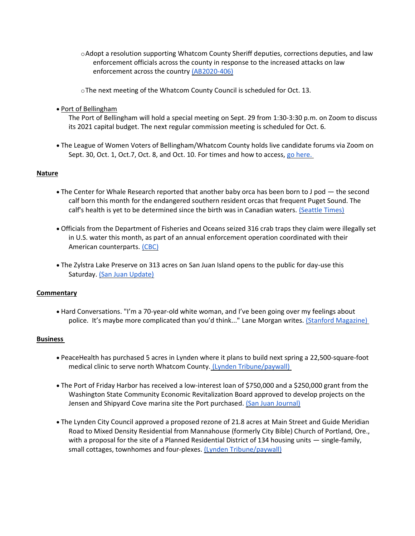$\circ$ Adopt a resolution supporting Whatcom County Sheriff deputies, corrections deputies, and law enforcement officials across the county in response to the increased attacks on law enforcement across the country [\(AB2020-406\)](https://whatcom.legistar.com/View.ashx?M=F&ID=8808076&GUID=9ADE5FE0-234C-41B1-98CD-8F00952B9FBE)

oThe next meeting of the Whatcom County Council is scheduled for Oct. 13.

• Port of Bellingham

The Port of Bellingham will hold a special meeting on Sept. 29 from 1:30-3:30 p.m. on Zoom to discuss its 2021 capital budget. The next regular commission meeting is scheduled for Oct. 6.

• The League of Women Voters of Bellingham/Whatcom County holds live candidate forums via Zoom on Sept. 30, Oct. 1, Oct.7, Oct. 8, and Oct. 10. For times and how to access, [go here.](https://www.lwvbellinghamwhatcom.org/)

#### **Nature**

- The Center for Whale Research reported that another baby orca has been born to J pod the second calf born this month for the endangered southern resident orcas that frequent Puget Sound. The calf's health is yet to be determined since the birth was in Canadian waters. [\(Seattle Times\)](https://www.seattletimes.com/seattle-news/environment/another-new-orca-baby-born-to-j-pod-the-second-this-month/)
- Officials from the Department of Fisheries and Oceans seized 316 crab traps they claim were illegally set in U.S. water this month, as part of an annual enforcement operation coordinated with their American counterparts. [\(CBC\)](https://www.cbc.ca/news/canada/british-columbia/boundary-bay-crab-trap-seizure-1.5736625)
- The Zylstra Lake Preserve on 313 acres on San Juan Island opens to the public for day-use this Saturday. [\(San Juan Update\)](https://sanjuanupdate.com/2020/09/zylstra-lake-preserve-opens-for-public-access/)

#### **Commentary**

• Hard Conversations. "I'm a 70-year-old white woman, and I've been going over my feelings about police. It's maybe more complicated than you'd think..." Lane Morgan writes. [\(Stanford Magazine\)](https://stanfordmag.org/contents/hard-conversations)

#### **Business**

- PeaceHealth has purchased 5 acres in Lynden where it plans to build next spring a 22,500-square-foot medical clinic to serve north Whatcom County. [\(Lynden Tribune/paywall\)](https://www.lyndentribune.com/news/peacehealth-buys-land-at-badger-benson/article_44de3e70-fd2b-11ea-9d57-bb3e5436e8c6.html)
- The Port of Friday Harbor has received a low-interest loan of \$750,000 and a \$250,000 grant from the Washington State Community Economic Revitalization Board approved to develop projects on the Jensen and Shipyard Cove marina site the Port purchased. [\(San Juan Journal\)](https://www.sanjuanjournal.com/news/port-seeks-to-expand-business-opportunities-for-the-community/)
- The Lynden City Council approved a proposed rezone of 21.8 acres at Main Street and Guide Meridian Road to Mixed Density Residential from Mannahouse (formerly City Bible) Church of Portland, Ore., with a proposal for the site of a Planned Residential District of 134 housing units — single-family, small cottages, townhomes and four-plexes. [\(Lynden Tribune/paywall\)](https://www.lyndentribune.com/news/city-council-to-consider-guide-main-rezone-request/article_cf9d0d6a-f93f-11ea-b663-33a8914ff904.html)